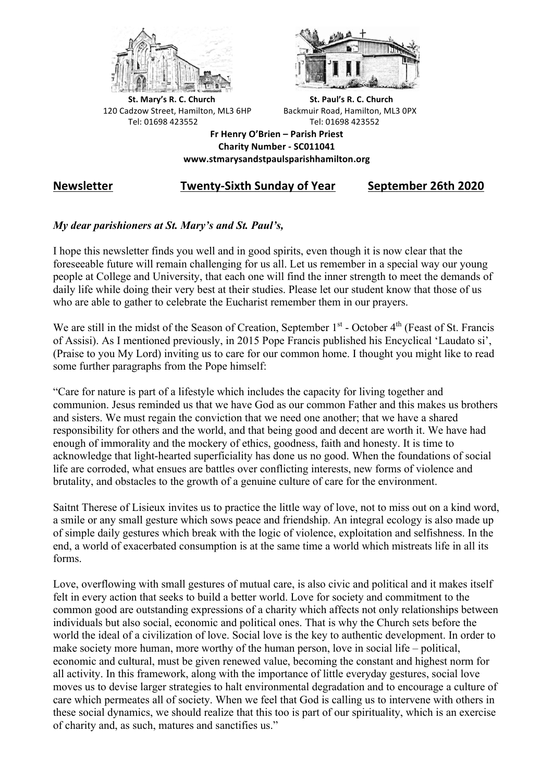



**St.** Mary's R. C. Church St. Paul's R. C. Church 120 Cadzow Street, Hamilton, ML3 6HP Backmuir Road, Hamilton, ML3 0PX Tel: 01698 423552 Tel: 01698 423552

**Fr Henry O'Brien – Parish Priest Charity Number - SC011041 www.stmarysandstpaulsparishhamilton.org**

## **Newsletter Twenty-Sixth Sunday of Year September 26th 2020**

## *My dear parishioners at St. Mary's and St. Paul's,*

I hope this newsletter finds you well and in good spirits, even though it is now clear that the foreseeable future will remain challenging for us all. Let us remember in a special way our young people at College and University, that each one will find the inner strength to meet the demands of daily life while doing their very best at their studies. Please let our student know that those of us who are able to gather to celebrate the Eucharist remember them in our prayers.

We are still in the midst of the Season of Creation, September  $1<sup>st</sup>$  - October  $4<sup>th</sup>$  (Feast of St. Francis of Assisi). As I mentioned previously, in 2015 Pope Francis published his Encyclical 'Laudato si', (Praise to you My Lord) inviting us to care for our common home. I thought you might like to read some further paragraphs from the Pope himself:

"Care for nature is part of a lifestyle which includes the capacity for living together and communion. Jesus reminded us that we have God as our common Father and this makes us brothers and sisters. We must regain the conviction that we need one another; that we have a shared responsibility for others and the world, and that being good and decent are worth it. We have had enough of immorality and the mockery of ethics, goodness, faith and honesty. It is time to acknowledge that light-hearted superficiality has done us no good. When the foundations of social life are corroded, what ensues are battles over conflicting interests, new forms of violence and brutality, and obstacles to the growth of a genuine culture of care for the environment.

Saitnt Therese of Lisieux invites us to practice the little way of love, not to miss out on a kind word, a smile or any small gesture which sows peace and friendship. An integral ecology is also made up of simple daily gestures which break with the logic of violence, exploitation and selfishness. In the end, a world of exacerbated consumption is at the same time a world which mistreats life in all its forms.

Love, overflowing with small gestures of mutual care, is also civic and political and it makes itself felt in every action that seeks to build a better world. Love for society and commitment to the common good are outstanding expressions of a charity which affects not only relationships between individuals but also social, economic and political ones. That is why the Church sets before the world the ideal of a civilization of love. Social love is the key to authentic development. In order to make society more human, more worthy of the human person, love in social life – political, economic and cultural, must be given renewed value, becoming the constant and highest norm for all activity. In this framework, along with the importance of little everyday gestures, social love moves us to devise larger strategies to halt environmental degradation and to encourage a culture of care which permeates all of society. When we feel that God is calling us to intervene with others in these social dynamics, we should realize that this too is part of our spirituality, which is an exercise of charity and, as such, matures and sanctifies us."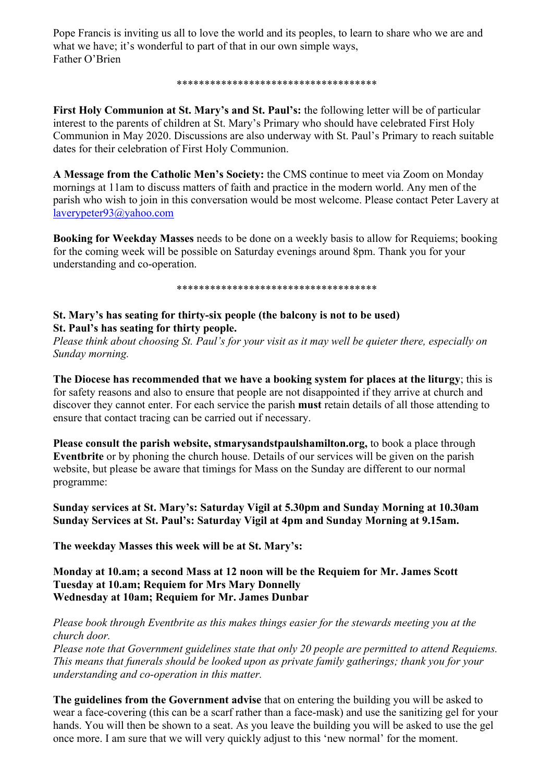Pope Francis is inviting us all to love the world and its peoples, to learn to share who we are and what we have; it's wonderful to part of that in our own simple ways, Father O'Brien

\*\*\*\*\*\*\*\*\*\*\*\*\*\*\*\*\*\*\*\*\*\*\*\*\*\*\*\*\*\*\*\*\*\*\*\*

**First Holy Communion at St. Mary's and St. Paul's:** the following letter will be of particular interest to the parents of children at St. Mary's Primary who should have celebrated First Holy Communion in May 2020. Discussions are also underway with St. Paul's Primary to reach suitable dates for their celebration of First Holy Communion.

**A Message from the Catholic Men's Society:** the CMS continue to meet via Zoom on Monday mornings at 11am to discuss matters of faith and practice in the modern world. Any men of the parish who wish to join in this conversation would be most welcome. Please contact Peter Lavery at laverypeter93@yahoo.com

**Booking for Weekday Masses** needs to be done on a weekly basis to allow for Requiems; booking for the coming week will be possible on Saturday evenings around 8pm. Thank you for your understanding and co-operation.

\*\*\*\*\*\*\*\*\*\*\*\*\*\*\*\*\*\*\*\*\*\*\*\*\*\*\*\*\*\*\*\*\*\*\*\*

## **St. Mary's has seating for thirty-six people (the balcony is not to be used) St. Paul's has seating for thirty people.**

*Please think about choosing St. Paul's for your visit as it may well be quieter there, especially on Sunday morning.*

**The Diocese has recommended that we have a booking system for places at the liturgy**; this is for safety reasons and also to ensure that people are not disappointed if they arrive at church and discover they cannot enter. For each service the parish **must** retain details of all those attending to ensure that contact tracing can be carried out if necessary.

**Please consult the parish website, stmarysandstpaulshamilton.org,** to book a place through **Eventbrite** or by phoning the church house. Details of our services will be given on the parish website, but please be aware that timings for Mass on the Sunday are different to our normal programme:

**Sunday services at St. Mary's: Saturday Vigil at 5.30pm and Sunday Morning at 10.30am Sunday Services at St. Paul's: Saturday Vigil at 4pm and Sunday Morning at 9.15am.**

**The weekday Masses this week will be at St. Mary's:**

**Monday at 10.am; a second Mass at 12 noon will be the Requiem for Mr. James Scott Tuesday at 10.am; Requiem for Mrs Mary Donnelly Wednesday at 10am; Requiem for Mr. James Dunbar**

*Please book through Eventbrite as this makes things easier for the stewards meeting you at the church door.*

*Please note that Government guidelines state that only 20 people are permitted to attend Requiems. This means that funerals should be looked upon as private family gatherings; thank you for your understanding and co-operation in this matter.*

**The guidelines from the Government advise** that on entering the building you will be asked to wear a face-covering (this can be a scarf rather than a face-mask) and use the sanitizing gel for your hands. You will then be shown to a seat. As you leave the building you will be asked to use the gel once more. I am sure that we will very quickly adjust to this 'new normal' for the moment.